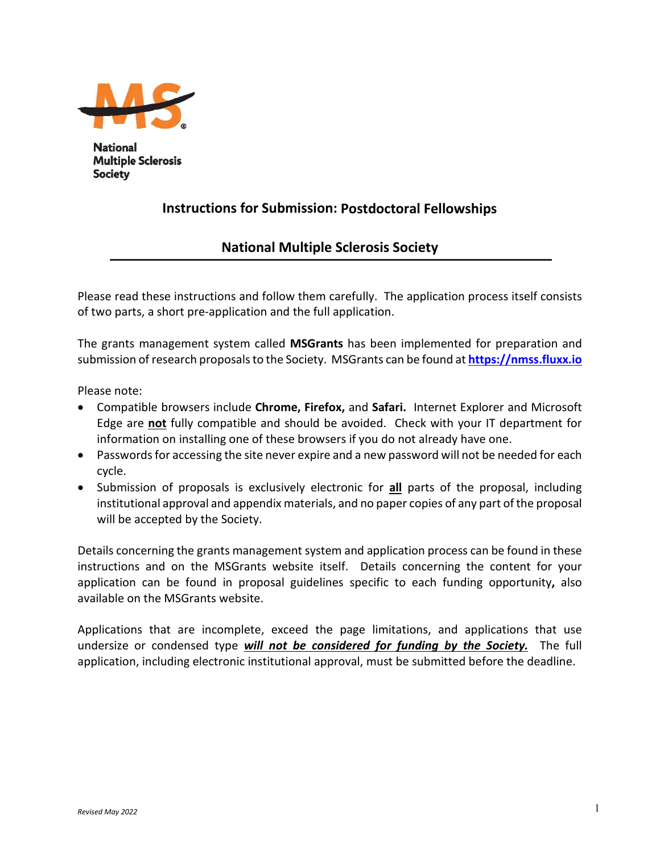

**National Multiple Sclerosis Society** 

# **Instructions for Submission: Postdoctoral Fellowships**

# **National Multiple Sclerosis Society**

Please read these instructions and follow them carefully. The application process itself consists of two parts, a short pre-application and the full application.

The grants management system called **MSGrants** has been implemented for preparation and submission of research proposals to the Society. MSGrants can be found at **[https://nmss.fluxx.io](https://nmss.fluxx.io/)**

Please note:

- Compatible browsers include **Chrome, Firefox,** and **Safari.** Internet Explorer and Microsoft Edge are **not** fully compatible and should be avoided. Check with your IT department for information on installing one of these browsers if you do not already have one.
- Passwords for accessing the site never expire and a new password will not be needed for each cycle.
- Submission of proposals is exclusively electronic for **all** parts of the proposal, including institutional approval and appendix materials, and no paper copies of any part of the proposal will be accepted by the Society.

Details concerning the grants management system and application process can be found in these instructions and on the MSGrants website itself. Details concerning the content for your application can be found in proposal guidelines specific to each funding opportunity**,** also available on the MSGrants website.

Applications that are incomplete, exceed the page limitations, and applications that use undersize or condensed type *will not be considered for funding by the Society.* The full application, including electronic institutional approval, must be submitted before the deadline.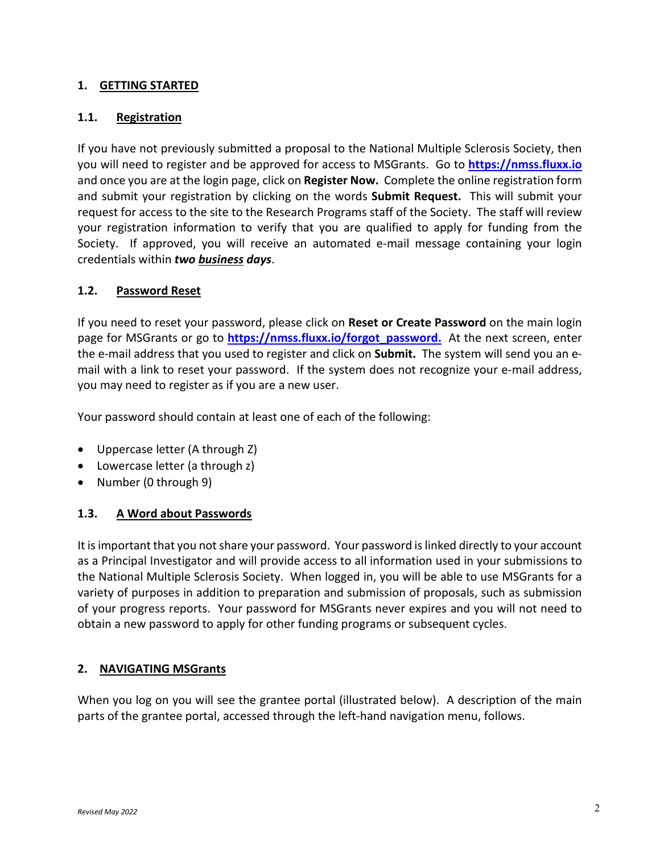#### **1. GETTING STARTED**

#### **1.1. Registration**

If you have not previously submitted a proposal to the National Multiple Sclerosis Society, then you will need to register and be approved for access to MSGrants. Go to **[https://nmss.fluxx.io](https://nmss.fluxx.io/)** and once you are at the login page, click on **Register Now.** Complete the online registration form and submit your registration by clicking on the words **Submit Request.** This will submit your request for access to the site to the Research Programs staff of the Society. The staff will review your registration information to verify that you are qualified to apply for funding from the Society. If approved, you will receive an automated e-mail message containing your login credentials within *two business days*.

#### **1.2. Password Reset**

If you need to reset your password, please click on **Reset or Create Password** on the main login page for MSGrants or go to **[https://nmss.fluxx.io/forgot\\_password.](https://nmss.fluxx.io/forgot_password)** At the next screen, enter the e-mail address that you used to register and click on **Submit.** The system will send you an email with a link to reset your password. If the system does not recognize your e-mail address, you may need to register as if you are a new user.

Your password should contain at least one of each of the following:

- Uppercase letter (A through Z)
- Lowercase letter (a through z)
- Number (0 through 9)

### **1.3. A Word about Passwords**

It is important that you not share your password. Your password is linked directly to your account as a Principal Investigator and will provide access to all information used in your submissions to the National Multiple Sclerosis Society. When logged in, you will be able to use MSGrants for a variety of purposes in addition to preparation and submission of proposals, such as submission of your progress reports. Your password for MSGrants never expires and you will not need to obtain a new password to apply for other funding programs or subsequent cycles.

### **2. NAVIGATING MSGrants**

When you log on you will see the grantee portal (illustrated below). A description of the main parts of the grantee portal, accessed through the left-hand navigation menu, follows.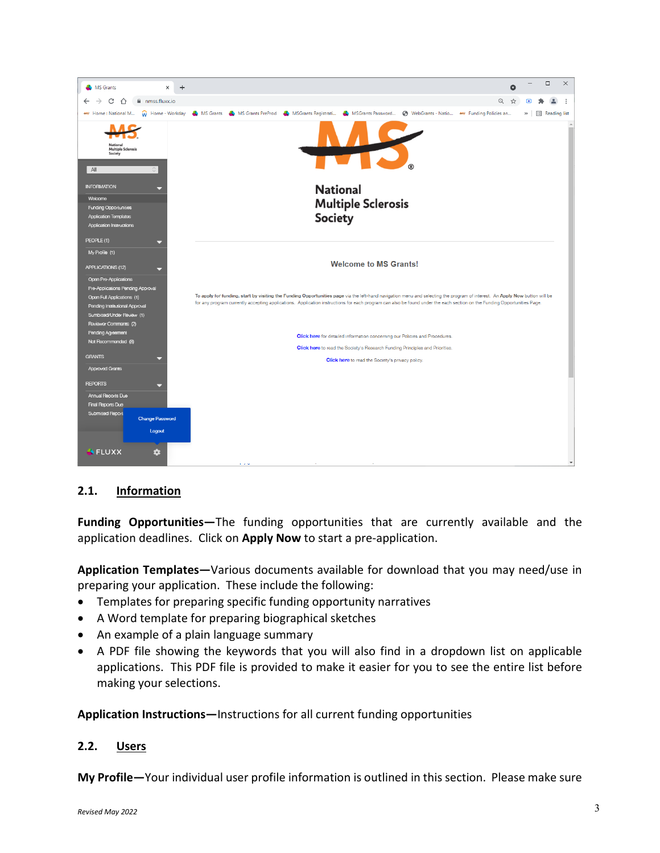

### **2.1. Information**

**Funding Opportunities—**The funding opportunities that are currently available and the application deadlines. Click on **Apply Now** to start a pre-application.

**Application Templates—**Various documents available for download that you may need/use in preparing your application. These include the following:

- Templates for preparing specific funding opportunity narratives
- A Word template for preparing biographical sketches
- An example of a plain language summary
- A PDF file showing the keywords that you will also find in a dropdown list on applicable applications. This PDF file is provided to make it easier for you to see the entire list before making your selections.

**Application Instructions—**Instructions for all current funding opportunities

#### **2.2. Users**

**My Profile—**Your individual user profile information is outlined in this section. Please make sure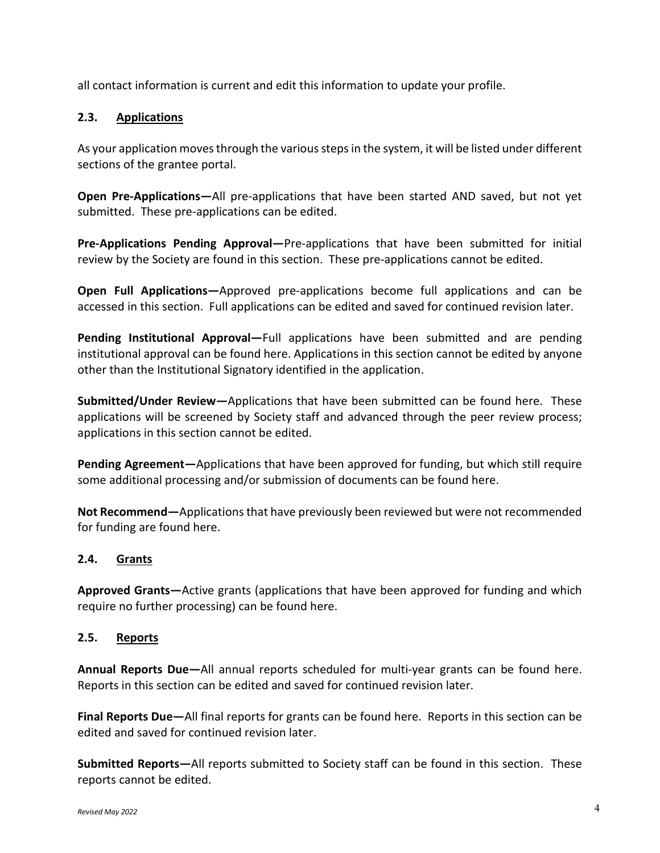all contact information is current and edit this information to update your profile.

### **2.3. Applications**

As your application moves through the various steps in the system, it will be listed under different sections of the grantee portal.

**Open Pre-Applications—**All pre-applications that have been started AND saved, but not yet submitted. These pre-applications can be edited.

**Pre-Applications Pending Approval—**Pre-applications that have been submitted for initial review by the Society are found in this section. These pre-applications cannot be edited.

**Open Full Applications—**Approved pre-applications become full applications and can be accessed in this section. Full applications can be edited and saved for continued revision later.

**Pending Institutional Approval—**Full applications have been submitted and are pending institutional approval can be found here. Applications in this section cannot be edited by anyone other than the Institutional Signatory identified in the application.

**Submitted/Under Review—**Applications that have been submitted can be found here. These applications will be screened by Society staff and advanced through the peer review process; applications in this section cannot be edited.

**Pending Agreement—**Applications that have been approved for funding, but which still require some additional processing and/or submission of documents can be found here.

**Not Recommend—**Applications that have previously been reviewed but were not recommended for funding are found here.

### **2.4. Grants**

**Approved Grants—**Active grants (applications that have been approved for funding and which require no further processing) can be found here.

### **2.5. Reports**

**Annual Reports Due—**All annual reports scheduled for multi-year grants can be found here. Reports in this section can be edited and saved for continued revision later.

**Final Reports Due—**All final reports for grants can be found here. Reports in this section can be edited and saved for continued revision later.

**Submitted Reports—**All reports submitted to Society staff can be found in this section. These reports cannot be edited.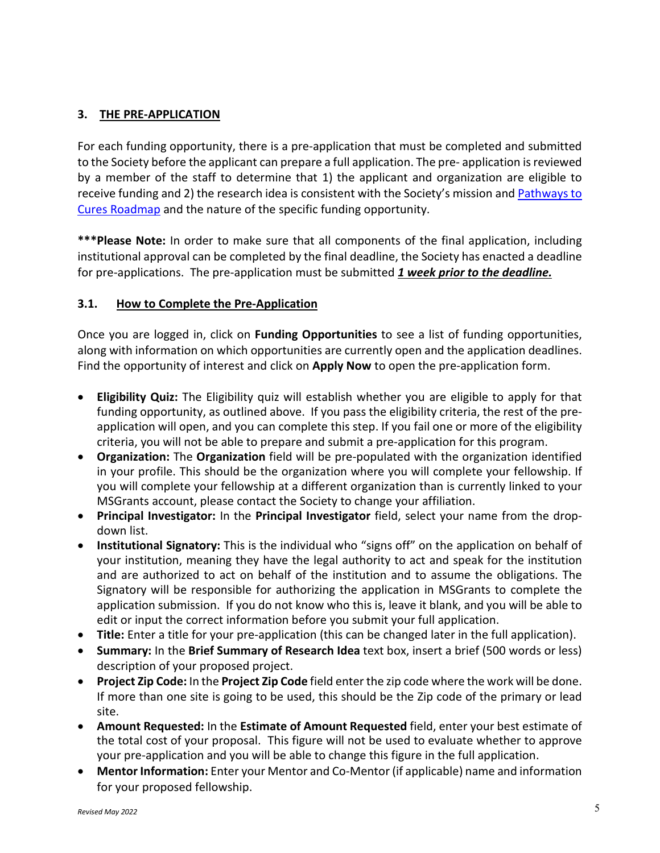### **3. THE PRE-APPLICATION**

For each funding opportunity, there is a pre-application that must be completed and submitted to the Society before the applicant can prepare a full application. The pre- application is reviewed by a member of the staff to determine that 1) the applicant and organization are eligible to receive funding and 2) the research idea is consistent with the Society's mission and **Pathways to** [Cures Roadmap](https://journals.sagepub.com/doi/10.1177/13524585221075990) and the nature of the specific funding opportunity.

**\*\*\*Please Note:** In order to make sure that all components of the final application, including institutional approval can be completed by the final deadline, the Society has enacted a deadline for pre-applications. The pre-application must be submitted *1 week prior to the deadline.*

#### **3.1. How to Complete the Pre-Application**

Once you are logged in, click on **Funding Opportunities** to see a list of funding opportunities, along with information on which opportunities are currently open and the application deadlines. Find the opportunity of interest and click on **Apply Now** to open the pre-application form.

- **Eligibility Quiz:** The Eligibility quiz will establish whether you are eligible to apply for that funding opportunity, as outlined above. If you pass the eligibility criteria, the rest of the preapplication will open, and you can complete this step. If you fail one or more of the eligibility criteria, you will not be able to prepare and submit a pre-application for this program.
- **Organization:** The **Organization** field will be pre-populated with the organization identified in your profile. This should be the organization where you will complete your fellowship. If you will complete your fellowship at a different organization than is currently linked to your MSGrants account, please contact the Society to change your affiliation.
- **Principal Investigator:** In the **Principal Investigator** field, select your name from the dropdown list.
- **Institutional Signatory:** This is the individual who "signs off" on the application on behalf of your institution, meaning they have the legal authority to act and speak for the institution and are authorized to act on behalf of the institution and to assume the obligations. The Signatory will be responsible for authorizing the application in MSGrants to complete the application submission. If you do not know who this is, leave it blank, and you will be able to edit or input the correct information before you submit your full application.
- **Title:** Enter a title for your pre-application (this can be changed later in the full application).
- **Summary:** In the **Brief Summary of Research Idea** text box, insert a brief (500 words or less) description of your proposed project.
- **Project Zip Code:** In the **Project Zip Code** field enter the zip code where the work will be done. If more than one site is going to be used, this should be the Zip code of the primary or lead site.
- **Amount Requested:** In the **Estimate of Amount Requested** field, enter your best estimate of the total cost of your proposal. This figure will not be used to evaluate whether to approve your pre-application and you will be able to change this figure in the full application.
- **Mentor Information:** Enter your Mentor and Co-Mentor (if applicable) name and information for your proposed fellowship.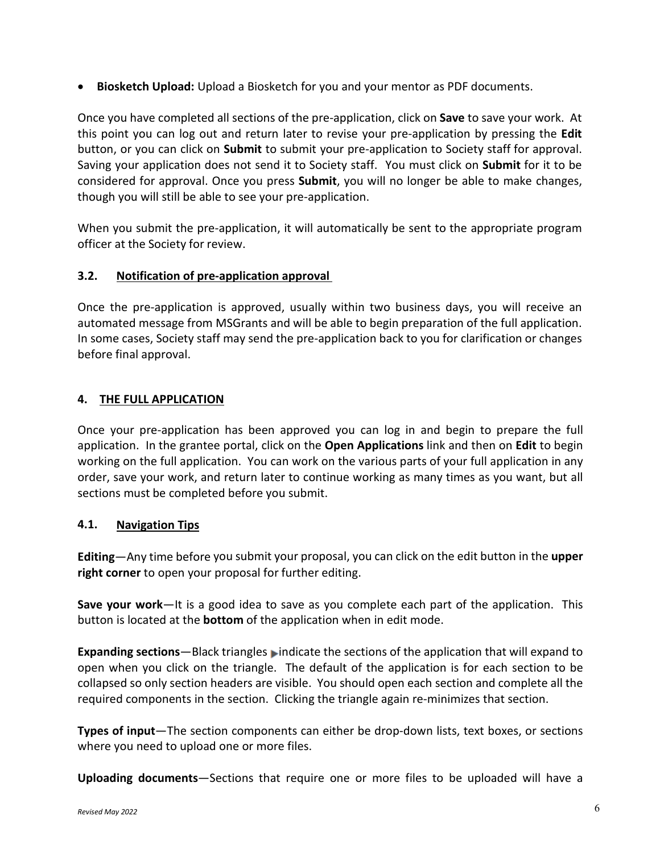• **Biosketch Upload:** Upload a Biosketch for you and your mentor as PDF documents.

Once you have completed all sections of the pre-application, click on **Save** to save your work. At this point you can log out and return later to revise your pre-application by pressing the **Edit**  button, or you can click on **Submit** to submit your pre-application to Society staff for approval. Saving your application does not send it to Society staff. You must click on **Submit** for it to be considered for approval. Once you press **Submit**, you will no longer be able to make changes, though you will still be able to see your pre-application.

When you submit the pre-application, it will automatically be sent to the appropriate program officer at the Society for review.

### **3.2. Notification of pre-application approval**

Once the pre-application is approved, usually within two business days, you will receive an automated message from MSGrants and will be able to begin preparation of the full application. In some cases, Society staff may send the pre-application back to you for clarification or changes before final approval.

# **4. THE FULL APPLICATION**

Once your pre-application has been approved you can log in and begin to prepare the full application. In the grantee portal, click on the **Open Applications** link and then on **Edit** to begin working on the full application. You can work on the various parts of your full application in any order, save your work, and return later to continue working as many times as you want, but all sections must be completed before you submit.

### **4.1. Navigation Tips**

**Editing**—Any time before you submit your proposal, you can click on the edit button in the **upper right corner** to open your proposal for further editing.

**Save your work**—It is a good idea to save as you complete each part of the application. This button is located at the **bottom** of the application when in edit mode.

**Expanding sections**—Black triangles indicate the sections of the application that will expand to open when you click on the triangle. The default of the application is for each section to be collapsed so only section headers are visible. You should open each section and complete all the required components in the section. Clicking the triangle again re-minimizes that section.

**Types of input**—The section components can either be drop-down lists, text boxes, or sections where you need to upload one or more files.

**Uploading documents**—Sections that require one or more files to be uploaded will have a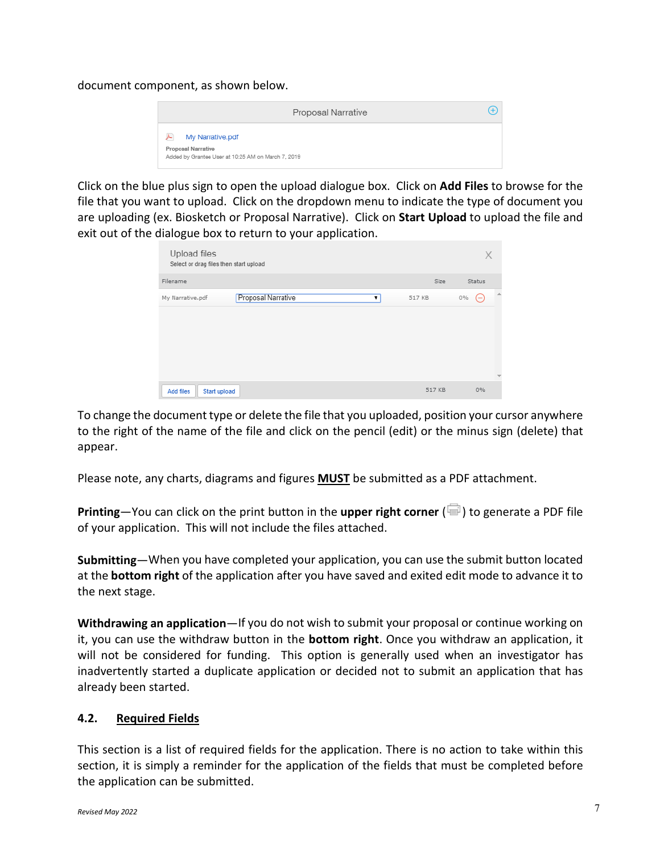document component, as shown below.



Click on the blue plus sign to open the upload dialogue box. Click on **Add Files** to browse for the file that you want to upload. Click on the dropdown menu to indicate the type of document you are uploading (ex. Biosketch or Proposal Narrative). Click on **Start Upload** to upload the file and exit out of the dialogue box to return to your application.

| Upload files<br>Select or drag files then start upload |        | X                          |
|--------------------------------------------------------|--------|----------------------------|
| Filename                                               | Size   | Status                     |
| Proposal Narrative<br>My Narrative.pdf<br>7            | 517 KB | $\Delta$<br>$0\%$<br>$(-)$ |
|                                                        |        | $\overline{\mathcal{M}}$   |
| Add files<br>Start upload                              | 517 KB | 0%                         |

To change the document type or delete the file that you uploaded, position your cursor anywhere to the right of the name of the file and click on the pencil (edit) or the minus sign (delete) that appear.

Please note, any charts, diagrams and figures **MUST** be submitted as a PDF attachment.

**Printing**—You can click on the print button in the **upper right corner** ( $\blacksquare$ ) to generate a PDF file of your application. This will not include the files attached.

**Submitting**—When you have completed your application, you can use the submit button located at the **bottom right** of the application after you have saved and exited edit mode to advance it to the next stage.

**Withdrawing an application**—If you do not wish to submit your proposal or continue working on it, you can use the withdraw button in the **bottom right**. Once you withdraw an application, it will not be considered for funding. This option is generally used when an investigator has inadvertently started a duplicate application or decided not to submit an application that has already been started.

#### **4.2. Required Fields**

This section is a list of required fields for the application. There is no action to take within this section, it is simply a reminder for the application of the fields that must be completed before the application can be submitted.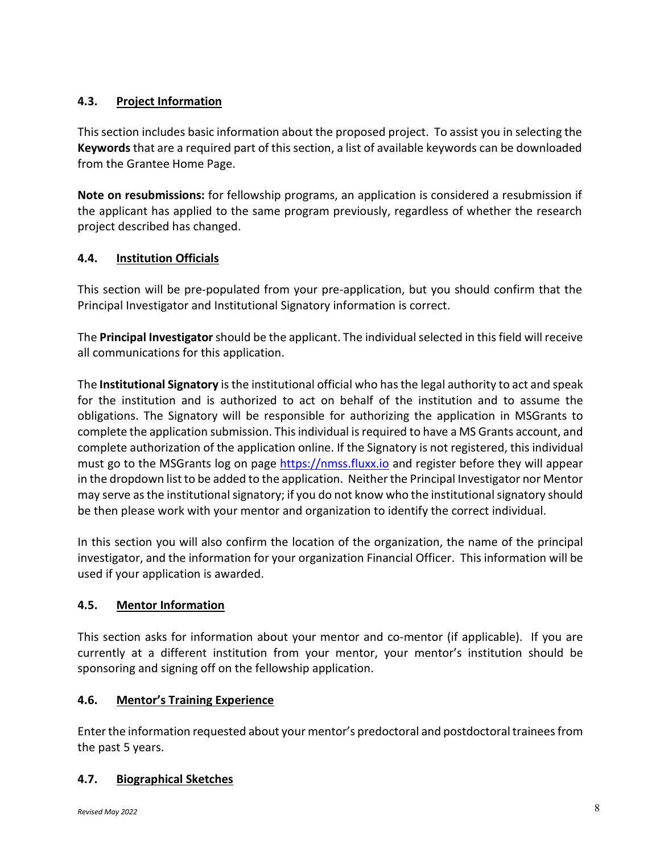# **4.3. Project Information**

This section includes basic information about the proposed project. To assist you in selecting the **Keywords** that are a required part of this section, a list of available keywords can be downloaded from the Grantee Home Page.

**Note on resubmissions:** for fellowship programs, an application is considered a resubmission if the applicant has applied to the same program previously, regardless of whether the research project described has changed.

### **4.4. Institution Officials**

This section will be pre-populated from your pre-application, but you should confirm that the Principal Investigator and Institutional Signatory information is correct.

The **Principal Investigator**should be the applicant. The individual selected in this field will receive all communications for this application.

The **Institutional Signatory** is the institutional official who has the legal authority to act and speak for the institution and is authorized to act on behalf of the institution and to assume the obligations. The Signatory will be responsible for authorizing the application in MSGrants to complete the application submission. This individual isrequired to have a MS Grants account, and complete authorization of the application online. If the Signatory is not registered, this individual must go to the MSGrants log on page [https://nmss.fluxx.io](https://nmss.fluxx.io/) and register before they will appear in the dropdown list to be added to the application. Neither the Principal Investigator nor Mentor may serve as the institutional signatory; if you do not know who the institutional signatory should be then please work with your mentor and organization to identify the correct individual.

In this section you will also confirm the location of the organization, the name of the principal investigator, and the information for your organization Financial Officer. This information will be used if your application is awarded.

### **4.5. Mentor Information**

This section asks for information about your mentor and co-mentor (if applicable). If you are currently at a different institution from your mentor, your mentor's institution should be sponsoring and signing off on the fellowship application.

### **4.6. Mentor's Training Experience**

Enter the information requested about your mentor's predoctoral and postdoctoral trainees from the past 5 years.

### **4.7. Biographical Sketches**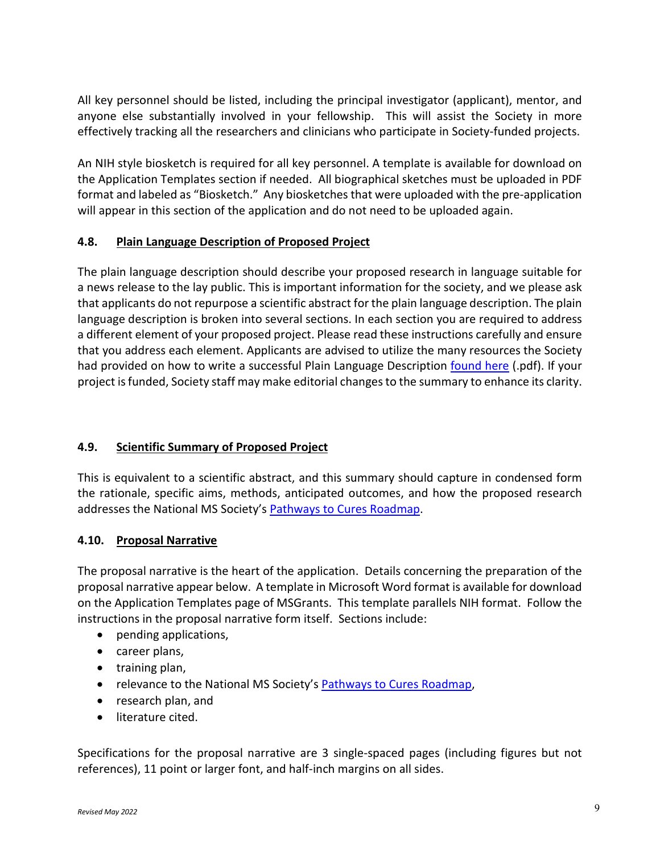All key personnel should be listed, including the principal investigator (applicant), mentor, and anyone else substantially involved in your fellowship. This will assist the Society in more effectively tracking all the researchers and clinicians who participate in Society-funded projects.

An NIH style biosketch is required for all key personnel. A template is available for download on the Application Templates section if needed. All biographical sketches must be uploaded in PDF format and labeled as "Biosketch." Any biosketches that were uploaded with the pre-application will appear in this section of the application and do not need to be uploaded again.

#### **4.8. Plain Language Description of Proposed Project**

The plain language description should describe your proposed research in language suitable for a news release to the lay public. This is important information for the society, and we please ask that applicants do not repurpose a scientific abstract for the plain language description. The plain language description is broken into several sections. In each section you are required to address a different element of your proposed project. Please read these instructions carefully and ensure that you address each element. Applicants are advised to utilize the many resources the Society had provided on how to write a successful Plain Language Description [found here](https://nms2cdn.azureedge.net/cmssite/nationalmssociety/media/msnationalfiles/research/examples_of_plain_language_summaries.pdf) (.pdf). If your project is funded, Society staff may make editorial changes to the summary to enhance its clarity.

### **4.9. Scientific Summary of Proposed Project**

This is equivalent to a scientific abstract, and this summary should capture in condensed form the rationale, specific aims, methods, anticipated outcomes, and how the proposed research addresses the National MS Society's [Pathways to Cures Roadmap.](https://journals.sagepub.com/doi/10.1177/13524585221075990)

### **4.10. Proposal Narrative**

The proposal narrative is the heart of the application. Details concerning the preparation of the proposal narrative appear below. A template in Microsoft Word format is available for download on the Application Templates page of MSGrants. This template parallels NIH format. Follow the instructions in the proposal narrative form itself. Sections include:

- pending applications,
- career plans,
- training plan,
- relevance to the National MS Society's [Pathways to Cures Roadmap,](https://journals.sagepub.com/doi/10.1177/13524585221075990)
- research plan, and
- literature cited.

Specifications for the proposal narrative are 3 single-spaced pages (including figures but not references), 11 point or larger font, and half-inch margins on all sides.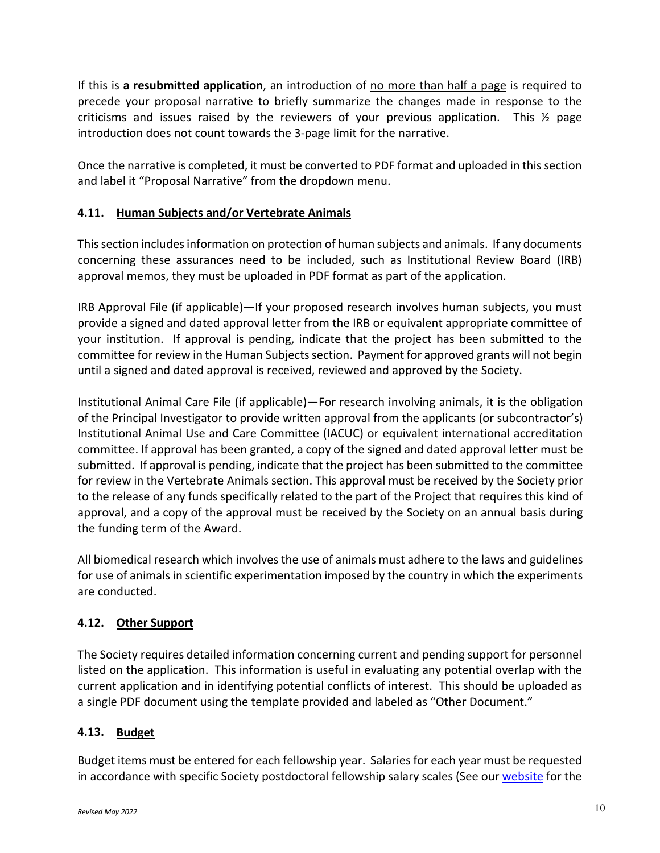If this is **a resubmitted application**, an introduction of no more than half a page is required to precede your proposal narrative to briefly summarize the changes made in response to the criticisms and issues raised by the reviewers of your previous application. This  $\frac{1}{2}$  page introduction does not count towards the 3-page limit for the narrative.

Once the narrative is completed, it must be converted to PDF format and uploaded in this section and label it "Proposal Narrative" from the dropdown menu.

# **4.11. Human Subjects and/or Vertebrate Animals**

This section includes information on protection of human subjects and animals. If any documents concerning these assurances need to be included, such as Institutional Review Board (IRB) approval memos, they must be uploaded in PDF format as part of the application.

IRB Approval File (if applicable)—If your proposed research involves human subjects, you must provide a signed and dated approval letter from the IRB or equivalent appropriate committee of your institution. If approval is pending, indicate that the project has been submitted to the committee for review in the Human Subjects section. Payment for approved grants will not begin until a signed and dated approval is received, reviewed and approved by the Society.

Institutional Animal Care File (if applicable)—For research involving animals, it is the obligation of the Principal Investigator to provide written approval from the applicants (or subcontractor's) Institutional Animal Use and Care Committee (IACUC) or equivalent international accreditation committee. If approval has been granted, a copy of the signed and dated approval letter must be submitted. If approval is pending, indicate that the project has been submitted to the committee for review in the Vertebrate Animals section. This approval must be received by the Society prior to the release of any funds specifically related to the part of the Project that requires this kind of approval, and a copy of the approval must be received by the Society on an annual basis during the funding term of the Award.

All biomedical research which involves the use of animals must adhere to the laws and guidelines for use of animals in scientific experimentation imposed by the country in which the experiments are conducted.

# **4.12. Other Support**

The Society requires detailed information concerning current and pending support for personnel listed on the application. This information is useful in evaluating any potential overlap with the current application and in identifying potential conflicts of interest. This should be uploaded as a single PDF document using the template provided and labeled as "Other Document."

### **4.13. Budget**

Budget items must be entered for each fellowship year. Salaries for each year must be requested in accordance with specific Society postdoctoral fellowship salary scales (See our [website](https://nms2cdn.azureedge.net/cmssite/nationalmssociety/media/msnationalfiles/research/fellowship-stipend-levels.pdf) for the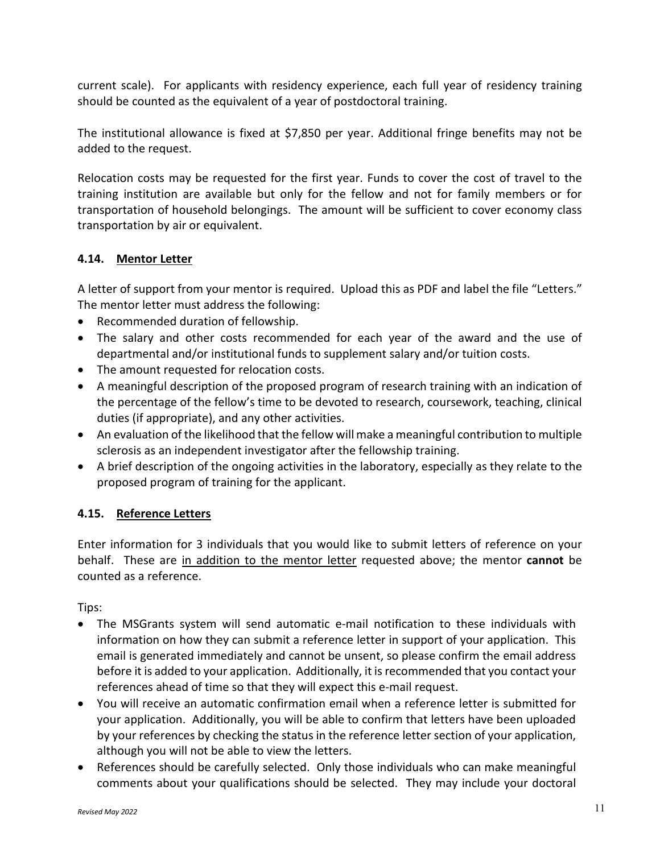current scale). For applicants with residency experience, each full year of residency training should be counted as the equivalent of a year of postdoctoral training.

The institutional allowance is fixed at \$7,850 per year. Additional fringe benefits may not be added to the request.

Relocation costs may be requested for the first year. Funds to cover the cost of travel to the training institution are available but only for the fellow and not for family members or for transportation of household belongings. The amount will be sufficient to cover economy class transportation by air or equivalent.

### **4.14. Mentor Letter**

A letter of support from your mentor is required. Upload this as PDF and label the file "Letters." The mentor letter must address the following:

- Recommended duration of fellowship.
- The salary and other costs recommended for each year of the award and the use of departmental and/or institutional funds to supplement salary and/or tuition costs.
- The amount requested for relocation costs.
- A meaningful description of the proposed program of research training with an indication of the percentage of the fellow's time to be devoted to research, coursework, teaching, clinical duties (if appropriate), and any other activities.
- An evaluation of the likelihood that the fellow will make a meaningful contribution to multiple sclerosis as an independent investigator after the fellowship training.
- A brief description of the ongoing activities in the laboratory, especially as they relate to the proposed program of training for the applicant.

### **4.15. Reference Letters**

Enter information for 3 individuals that you would like to submit letters of reference on your behalf. These are in addition to the mentor letter requested above; the mentor **cannot** be counted as a reference.

Tips:

- The MSGrants system will send automatic e-mail notification to these individuals with information on how they can submit a reference letter in support of your application. This email is generated immediately and cannot be unsent, so please confirm the email address before it is added to your application. Additionally, it is recommended that you contact your references ahead of time so that they will expect this e-mail request.
- You will receive an automatic confirmation email when a reference letter is submitted for your application. Additionally, you will be able to confirm that letters have been uploaded by your references by checking the status in the reference letter section of your application, although you will not be able to view the letters.
- References should be carefully selected. Only those individuals who can make meaningful comments about your qualifications should be selected. They may include your doctoral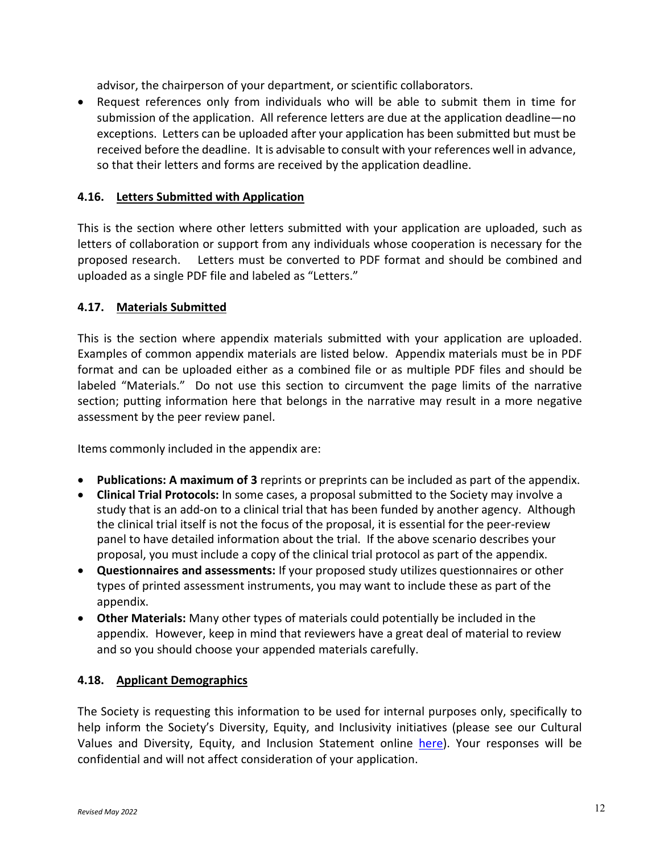advisor, the chairperson of your department, or scientific collaborators.

• Request references only from individuals who will be able to submit them in time for submission of the application. All reference letters are due at the application deadline—no exceptions. Letters can be uploaded after your application has been submitted but must be received before the deadline. It is advisable to consult with your references well in advance, so that their letters and forms are received by the application deadline.

#### **4.16. Letters Submitted with Application**

This is the section where other letters submitted with your application are uploaded, such as letters of collaboration or support from any individuals whose cooperation is necessary for the proposed research. Letters must be converted to PDF format and should be combined and uploaded as a single PDF file and labeled as "Letters."

#### **4.17. Materials Submitted**

This is the section where appendix materials submitted with your application are uploaded. Examples of common appendix materials are listed below. Appendix materials must be in PDF format and can be uploaded either as a combined file or as multiple PDF files and should be labeled "Materials." Do not use this section to circumvent the page limits of the narrative section; putting information here that belongs in the narrative may result in a more negative assessment by the peer review panel.

Items commonly included in the appendix are:

- **Publications: A maximum of 3** reprints or preprints can be included as part of the appendix.
- **Clinical Trial Protocols:** In some cases, a proposal submitted to the Society may involve a study that is an add-on to a clinical trial that has been funded by another agency. Although the clinical trial itself is not the focus of the proposal, it is essential for the peer-review panel to have detailed information about the trial. If the above scenario describes your proposal, you must include a copy of the clinical trial protocol as part of the appendix.
- **Questionnaires and assessments:** If your proposed study utilizes questionnaires or other types of printed assessment instruments, you may want to include these as part of the appendix.
- **Other Materials:** Many other types of materials could potentially be included in the appendix. However, keep in mind that reviewers have a great deal of material to review and so you should choose your appended materials carefully.

#### **4.18. Applicant Demographics**

The Society is requesting this information to be used for internal purposes only, specifically to help inform the Society's Diversity, Equity, and Inclusivity initiatives (please see our Cultural Values and Diversity, Equity, and Inclusion Statement online [here\)](https://www.nationalmssociety.org/About-the-Society/Cultural-Values). Your responses will be confidential and will not affect consideration of your application.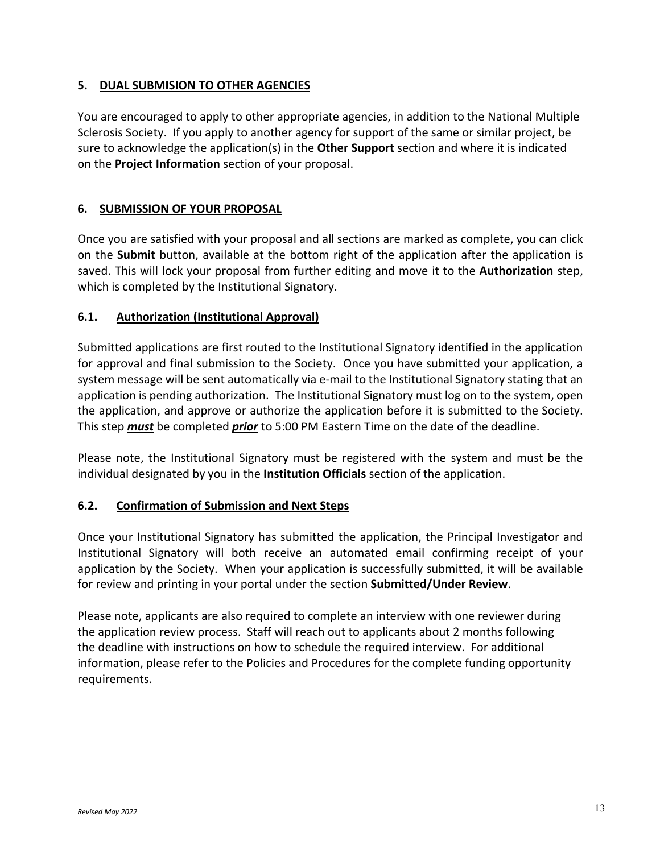#### **5. DUAL SUBMISION TO OTHER AGENCIES**

You are encouraged to apply to other appropriate agencies, in addition to the National Multiple Sclerosis Society. If you apply to another agency for support of the same or similar project, be sure to acknowledge the application(s) in the **Other Support** section and where it is indicated on the **Project Information** section of your proposal.

#### **6. SUBMISSION OF YOUR PROPOSAL**

Once you are satisfied with your proposal and all sections are marked as complete, you can click on the **Submit** button, available at the bottom right of the application after the application is saved. This will lock your proposal from further editing and move it to the **Authorization** step, which is completed by the Institutional Signatory.

#### **6.1. Authorization (Institutional Approval)**

Submitted applications are first routed to the Institutional Signatory identified in the application for approval and final submission to the Society. Once you have submitted your application, a system message will be sent automatically via e-mail to the Institutional Signatory stating that an application is pending authorization. The Institutional Signatory must log on to the system, open the application, and approve or authorize the application before it is submitted to the Society. This step *must* be completed *prior* to 5:00 PM Eastern Time on the date of the deadline.

Please note, the Institutional Signatory must be registered with the system and must be the individual designated by you in the **Institution Officials** section of the application.

### **6.2. Confirmation of Submission and Next Steps**

Once your Institutional Signatory has submitted the application, the Principal Investigator and Institutional Signatory will both receive an automated email confirming receipt of your application by the Society. When your application is successfully submitted, it will be available for review and printing in your portal under the section **Submitted/Under Review**.

Please note, applicants are also required to complete an interview with one reviewer during the application review process. Staff will reach out to applicants about 2 months following the deadline with instructions on how to schedule the required interview. For additional information, please refer to the Policies and Procedures for the complete funding opportunity requirements.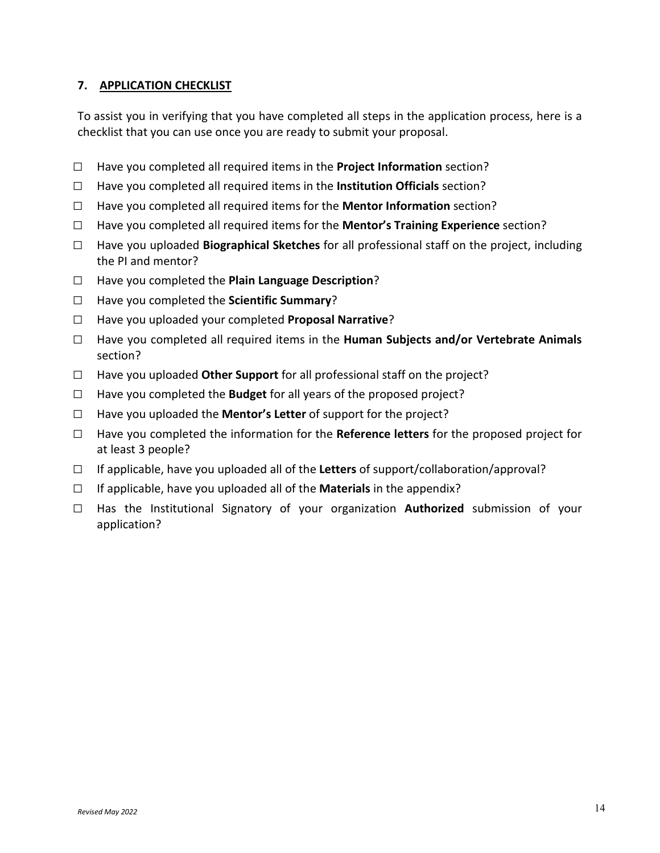#### **7. APPLICATION CHECKLIST**

To assist you in verifying that you have completed all steps in the application process, here is a checklist that you can use once you are ready to submit your proposal.

- □ Have you completed all required items in the **Project Information** section?
- □ Have you completed all required items in the **Institution Officials** section?
- □ Have you completed all required items for the **Mentor Information** section?
- □ Have you completed all required items for the **Mentor's Training Experience** section?
- □ Have you uploaded **Biographical Sketches** for all professional staff on the project, including the PI and mentor?
- □ Have you completed the **Plain Language Description**?
- □ Have you completed the **Scientific Summary**?
- □ Have you uploaded your completed **Proposal Narrative**?
- □ Have you completed all required items in the **Human Subjects and/or Vertebrate Animals**  section?
- $\Box$  Have you uploaded **Other Support** for all professional staff on the project?
- $\Box$  Have you completed the **Budget** for all years of the proposed project?
- □ Have you uploaded the **Mentor's Letter** of support for the project?
- □ Have you completed the information for the **Reference letters** for the proposed project for at least 3 people?
- □ If applicable, have you uploaded all of the **Letters** of support/collaboration/approval?
- $\Box$  If applicable, have you uploaded all of the **Materials** in the appendix?
- □ Has the Institutional Signatory of your organization **Authorized** submission of your application?